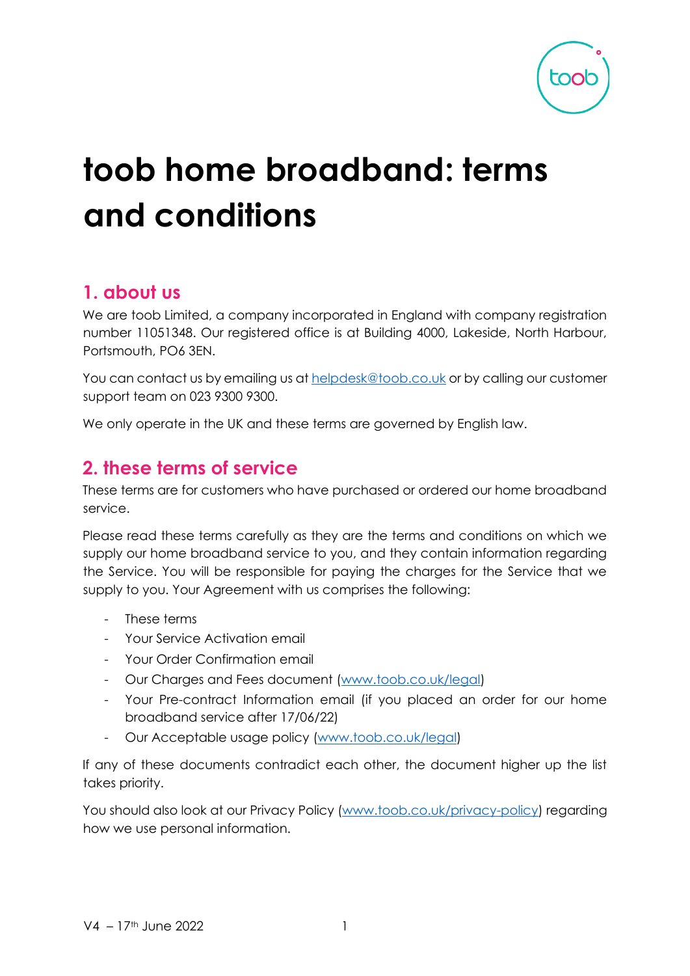| toc<br><b>C</b> |
|-----------------|
|                 |

# **toob home broadband: terms and conditions**

## **1. about us**

We are toob Limited, a company incorporated in England with company registration number 11051348. Our registered office is at Building 4000, Lakeside, North Harbour, Portsmouth, PO6 3EN.

You can contact us by emailing us at helpdesk@toob.co.uk or by calling our customer support team on 023 9300 9300.

We only operate in the UK and these terms are governed by English law.

## **2. these terms of service**

These terms are for customers who have purchased or ordered our home broadband service.

Please read these terms carefully as they are the terms and conditions on which we supply our home broadband service to you, and they contain information regarding the Service. You will be responsible for paying the charges for the Service that we supply to you. Your Agreement with us comprises the following:

- These terms
- Your Service Activation email
- Your Order Confirmation email
- Our Charges and Fees document [\(www.toob.co.uk/legal\)](http://www.toob.co.uk/legal)
- Your Pre-contract Information email (if you placed an order for our home broadband service after 17/06/22)
- Our Acceptable usage policy [\(www.toob.co.uk/legal\)](http://www.toob.co.uk/legal)

If any of these documents contradict each other, the document higher up the list takes priority.

You should also look at our Privacy Policy [\(www.toob.co.uk/privacy-policy\)](http://www.toob.co.uk/privacy-policy) regarding how we use personal information.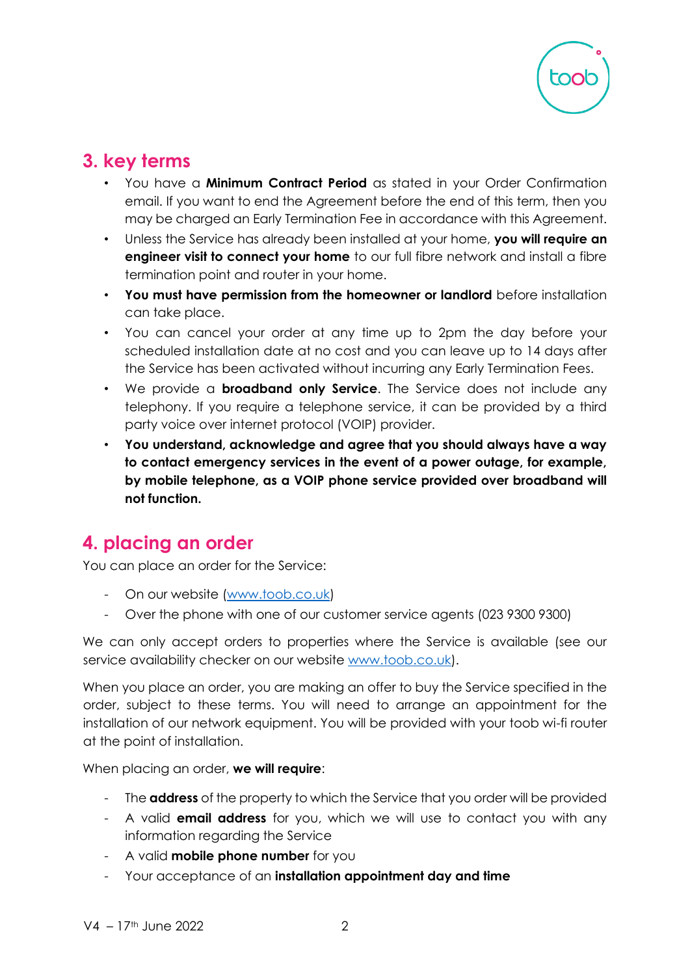

# **3. key terms**

- You have a **Minimum Contract Period** as stated in your Order Confirmation email. If you want to end the Agreement before the end of this term, then you may be charged an Early Termination Fee in accordance with this Agreement.
- Unless the Service has already been installed at your home, **you will require an engineer visit to connect your home** to our full fibre network and install a fibre termination point and router in your home.
- **You must have permission from the homeowner or landlord** before installation can take place.
- You can cancel your order at any time up to 2pm the day before your scheduled installation date at no cost and you can leave up to 14 days after the Service has been activated without incurring any Early Termination Fees.
- We provide a **broadband only Service**. The Service does not include any telephony. If you require a telephone service, it can be provided by a third party voice over internet protocol (VOIP) provider.
- **You understand, acknowledge and agree that you should always have a way to contact emergency services in the event of a power outage, for example, by mobile telephone, as a VOIP phone service provided over broadband will not function.**

# **4. placing an order**

You can place an order for the Service:

- On our website (www.toob.co.uk)
- Over the phone with one of our customer service agents (023 9300 9300)

We can only accept orders to properties where the Service is available (see our s[e](http://www.toob.co.uk/)rvice availability checker on our website [www.toob.co.uk\).](http://www.toob.co.uk/)

When you place an order, you are making an offer to buy the Service specified in the order, subject to these terms. You will need to arrange an appointment for the installation of our network equipment. You will be provided with your toob wi-fi router at the point of installation.

#### When placing an order, **we will require**:

- The **address** of the property to which the Service that you order will be provided
- A valid **email address** for you, which we will use to contact you with any information regarding the Service
- A valid **mobile phone number** for you
- Your acceptance of an **installation appointment day and time**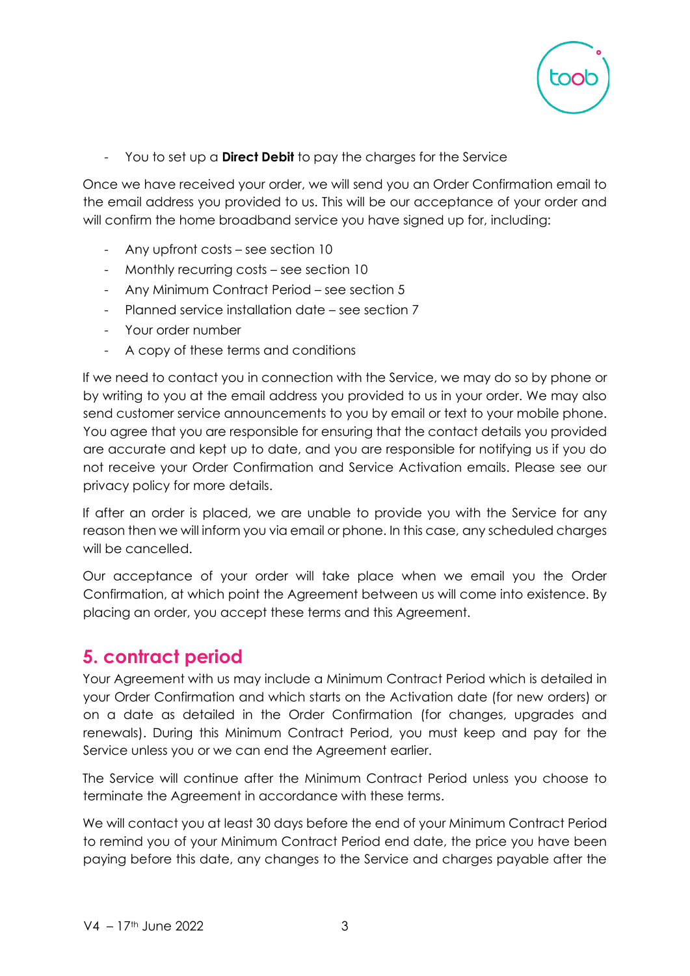

- You to set up a **Direct Debit** to pay the charges for the Service

Once we have received your order, we will send you an Order Confirmation email to the email address you provided to us. This will be our acceptance of your order and will confirm the home broadband service you have signed up for, including:

- Any upfront costs see section 10
- Monthly recurring costs see section 10
- Any Minimum Contract Period see section 5
- Planned service installation date see section 7
- Your order number
- A copy of these terms and conditions

If we need to contact you in connection with the Service, we may do so by phone or by writing to you at the email address you provided to us in your order. We may also send customer service announcements to you by email or text to your mobile phone. You agree that you are responsible for ensuring that the contact details you provided are accurate and kept up to date, and you are responsible for notifying us if you do not receive your Order Confirmation and Service Activation emails. Please see our privacy policy for more details.

If after an order is placed, we are unable to provide you with the Service for any reason then we will inform you via email or phone. In this case, any scheduled charges will be cancelled.

Our acceptance of your order will take place when we email you the Order Confirmation, at which point the Agreement between us will come into existence. By placing an order, you accept these terms and this Agreement.

## **5. contract period**

Your Agreement with us may include a Minimum Contract Period which is detailed in your Order Confirmation and which starts on the Activation date (for new orders) or on a date as detailed in the Order Confirmation (for changes, upgrades and renewals). During this Minimum Contract Period, you must keep and pay for the Service unless you or we can end the Agreement earlier.

The Service will continue after the Minimum Contract Period unless you choose to terminate the Agreement in accordance with these terms.

We will contact you at least 30 days before the end of your Minimum Contract Period to remind you of your Minimum Contract Period end date, the price you have been paying before this date, any changes to the Service and charges payable after the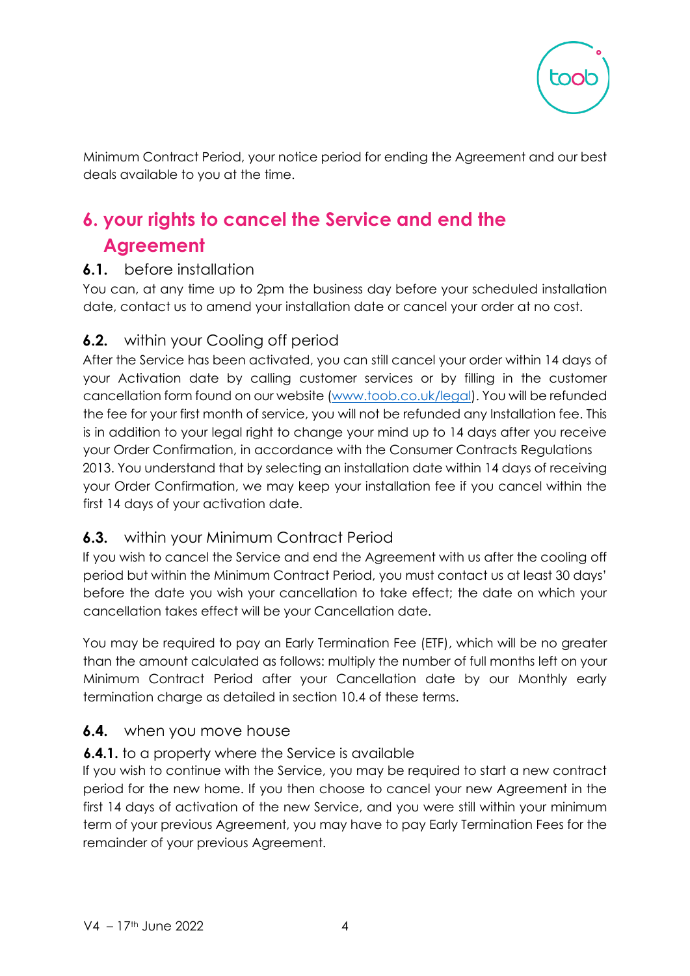

Minimum Contract Period, your notice period for ending the Agreement and our best deals available to you at the time.

# **6. your rights to cancel the Service and end the Agreement**

#### **6.1.** before installation

You can, at any time up to 2pm the business day before your scheduled installation date, contact us to amend your installation date or cancel your order at no cost.

#### **6.2.** within your Cooling off period

After the Service has been activated, you can still cancel your order within 14 days of your Activation date by calling customer services or by filling in the customer cancellation form found on our website [\(www.toob.co.uk/legal\).](http://www.toob.co.uk/legal) You will be refunded the fee for your first month of service, you will not be refunded any Installation fee. This is in addition to your legal right to change your mind up to 14 days after you receive your Order Confirmation, in accordance with the Consumer Contracts Regulations 2013. You understand that by selecting an installation date within 14 days of receiving your Order Confirmation, we may keep your installation fee if you cancel within the first 14 days of your activation date.

#### **6.3.** within your Minimum Contract Period

If you wish to cancel the Service and end the Agreement with us after the cooling off period but within the Minimum Contract Period, you must contact us at least 30 days' before the date you wish your cancellation to take effect; the date on which your cancellation takes effect will be your Cancellation date.

You may be required to pay an Early Termination Fee (ETF), which will be no greater than the amount calculated as follows: multiply the number of full months left on your Minimum Contract Period after your Cancellation date by our Monthly early termination charge as detailed in section 10.4 of these terms.

#### **6.4.** when you move house

#### **6.4.1.** to a property where the Service is available

If you wish to continue with the Service, you may be required to start a new contract period for the new home. If you then choose to cancel your new Agreement in the first 14 days of activation of the new Service, and you were still within your minimum term of your previous Agreement, you may have to pay Early Termination Fees for the remainder of your previous Agreement.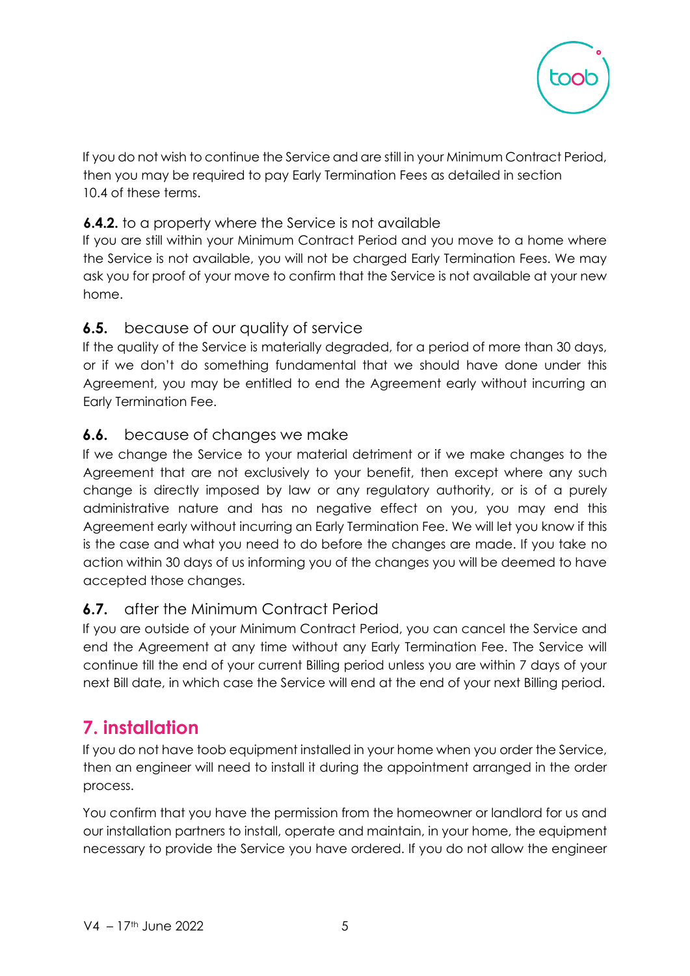

If you do not wish to continue the Service and are still in your Minimum Contract Period, then you may be required to pay Early Termination Fees as detailed in section 10.4 of these terms.

#### **6.4.2.** to a property where the Service is not available

If you are still within your Minimum Contract Period and you move to a home where the Service is not available, you will not be charged Early Termination Fees. We may ask you for proof of your move to confirm that the Service is not available at your new home.

#### **6.5.** because of our quality of service

If the quality of the Service is materially degraded, for a period of more than 30 days, or if we don't do something fundamental that we should have done under this Agreement, you may be entitled to end the Agreement early without incurring an Early Termination Fee.

#### **6.6.** because of changes we make

If we change the Service to your material detriment or if we make changes to the Agreement that are not exclusively to your benefit, then except where any such change is directly imposed by law or any regulatory authority, or is of a purely administrative nature and has no negative effect on you, you may end this Agreement early without incurring an Early Termination Fee. We will let you know if this is the case and what you need to do before the changes are made. If you take no action within 30 days of us informing you of the changes you will be deemed to have accepted those changes.

#### **6.7.** after the Minimum Contract Period

If you are outside of your Minimum Contract Period, you can cancel the Service and end the Agreement at any time without any Early Termination Fee. The Service will continue till the end of your current Billing period unless you are within 7 days of your next Bill date, in which case the Service will end at the end of your next Billing period.

# **7. installation**

If you do not have toob equipment installed in your home when you order the Service, then an engineer will need to install it during the appointment arranged in the order process.

You confirm that you have the permission from the homeowner or landlord for us and our installation partners to install, operate and maintain, in your home, the equipment necessary to provide the Service you have ordered. If you do not allow the engineer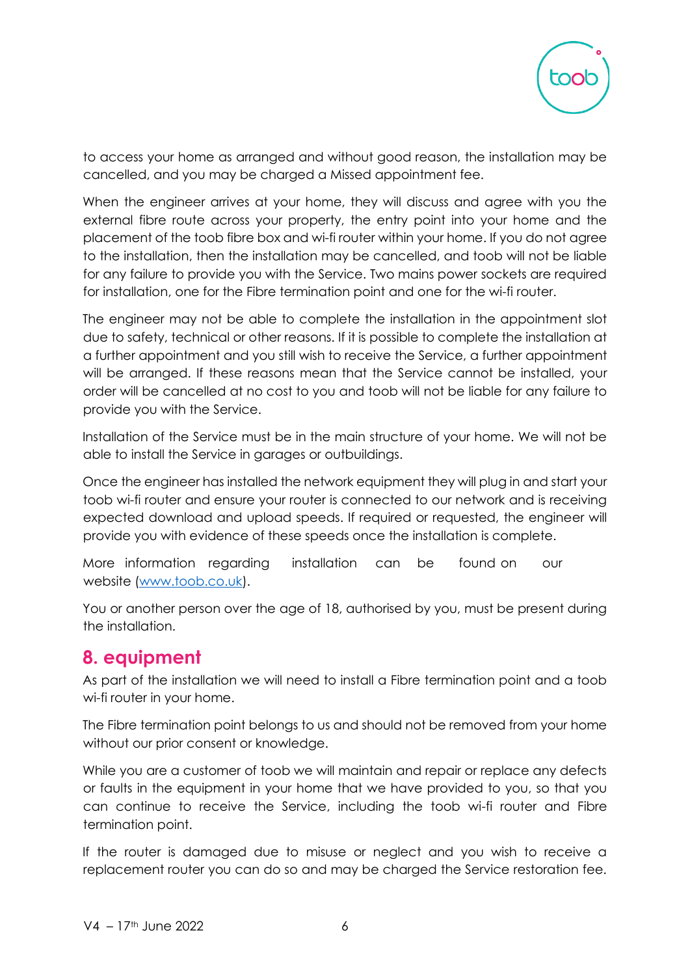

to access your home as arranged and without good reason, the installation may be cancelled, and you may be charged a Missed appointment fee.

When the engineer arrives at your home, they will discuss and agree with you the external fibre route across your property, the entry point into your home and the placement of the toob fibre box and wi-fi router within your home. If you do not agree to the installation, then the installation may be cancelled, and toob will not be liable for any failure to provide you with the Service. Two mains power sockets are required for installation, one for the Fibre termination point and one for the wi-fi router.

The engineer may not be able to complete the installation in the appointment slot due to safety, technical or other reasons. If it is possible to complete the installation at a further appointment and you still wish to receive the Service, a further appointment will be arranged. If these reasons mean that the Service cannot be installed, your order will be cancelled at no cost to you and toob will not be liable for any failure to provide you with the Service.

Installation of the Service must be in the main structure of your home. We will not be able to install the Service in garages or outbuildings.

Once the engineer has installed the network equipment they will plug in and start your toob wi-fi router and ensure your router is connected to our network and is receiving expected download and upload speeds. If required or requested, the engineer will provide you with evidence of these speeds once the installation is complete.

More information regarding installation can be found on our website [\(www.toob.co.uk\).](http://www.toob.co.uk/)

You or another person over the age of 18, authorised by you, must be present during the installation.

## **8. equipment**

As part of the installation we will need to install a Fibre termination point and a toob wi-fi router in your home.

The Fibre termination point belongs to us and should not be removed from your home without our prior consent or knowledge.

While you are a customer of toob we will maintain and repair or replace any defects or faults in the equipment in your home that we have provided to you, so that you can continue to receive the Service, including the toob wi-fi router and Fibre termination point.

If the router is damaged due to misuse or neglect and you wish to receive a replacement router you can do so and may be charged the Service restoration fee.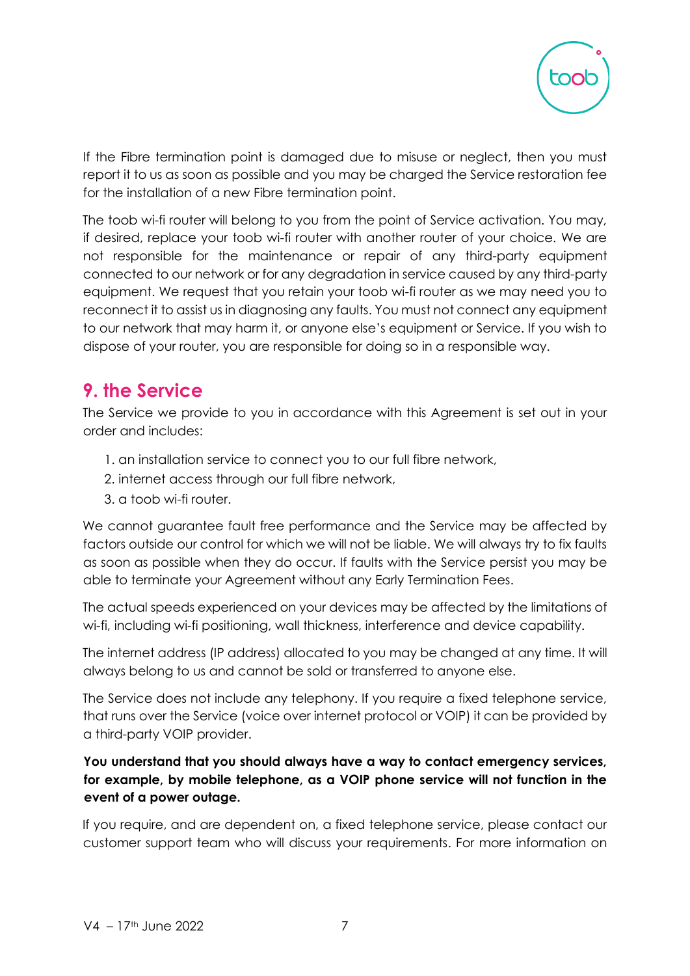

If the Fibre termination point is damaged due to misuse or neglect, then you must report it to us as soon as possible and you may be charged the Service restoration fee for the installation of a new Fibre termination point.

The toob wi-fi router will belong to you from the point of Service activation. You may, if desired, replace your toob wi-fi router with another router of your choice. We are not responsible for the maintenance or repair of any third-party equipment connected to our network or for any degradation in service caused by any third-party equipment. We request that you retain your toob wi-fi router as we may need you to reconnect it to assist us in diagnosing any faults. You must not connect any equipment to our network that may harm it, or anyone else's equipment or Service. If you wish to dispose of your router, you are responsible for doing so in a responsible way.

## **9. the Service**

The Service we provide to you in accordance with this Agreement is set out in your order and includes:

- 1. an installation service to connect you to our full fibre network,
- 2. internet access through our full fibre network,
- 3. a toob wi-fi router.

We cannot guarantee fault free performance and the Service may be affected by factors outside our control for which we will not be liable. We will always try to fix faults as soon as possible when they do occur. If faults with the Service persist you may be able to terminate your Agreement without any Early Termination Fees.

The actual speeds experienced on your devices may be affected by the limitations of wi-fi, including wi-fi positioning, wall thickness, interference and device capability.

The internet address (IP address) allocated to you may be changed at any time. It will always belong to us and cannot be sold or transferred to anyone else.

The Service does not include any telephony. If you require a fixed telephone service, that runs over the Service (voice over internet protocol or VOIP) it can be provided by a third-party VOIP provider.

#### **You understand that you should always have a way to contact emergency services, for example, by mobile telephone, as a VOIP phone service will not function in the event of a power outage.**

If you require, and are dependent on, a fixed telephone service, please contact our customer support team who will discuss your requirements. For more information on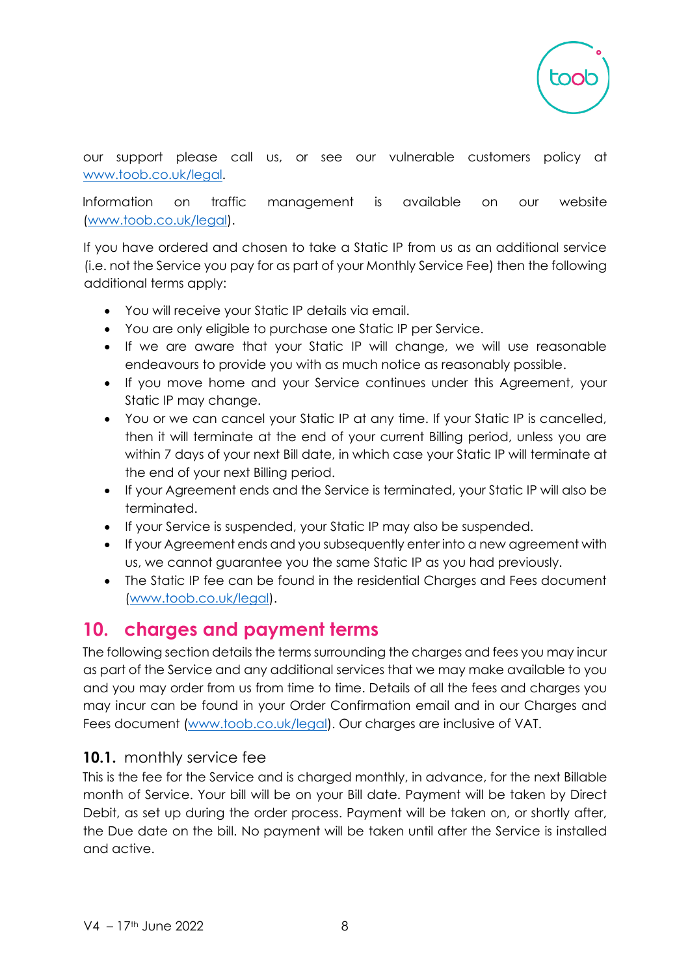

our support please call us, or see our vulnerable customers policy at [www.toob.co.uk/legal.](http://www.toob.co.uk/legal)

Information on traffic management is available on our website [\(www.toob.co.uk/legal](www.toob.co.uk/legal)[\).](http://www.toob.co.uk/legal)

If you have ordered and chosen to take a Static IP from us as an additional service (i.e. not the Service you pay for as part of your Monthly Service Fee) then the following additional terms apply:

- You will receive your Static IP details via email.
- You are only eligible to purchase one Static IP per Service.
- If we are aware that your Static IP will change, we will use reasonable endeavours to provide you with as much notice as reasonably possible.
- If you move home and your Service continues under this Agreement, your Static IP may change.
- You or we can cancel your Static IP at any time. If your Static IP is cancelled, then it will terminate at the end of your current Billing period, unless you are within 7 days of your next Bill date, in which case your Static IP will terminate at the end of your next Billing period.
- If your Agreement ends and the Service is terminated, your Static IP will also be terminated.
- If your Service is suspended, your Static IP may also be suspended.
- If your Agreement ends and you subsequently enter into a new agreement with us, we cannot guarantee you the same Static IP as you had previously.
- The Static IP fee can be found in the residential Charges and Fees document [\(www.toob.co.uk/legal\)](http://www.toob.co.uk/legal).

## **10. charges and payment terms**

The following section details the terms surrounding the charges and fees you may incur as part of the Service and any additional services that we may make available to you and you may order from us from time to time. Details of all the fees and charges you may incur can be found in your Order Confirmation email and in our Charges and Fees document [\(www.toob.co.uk/legal\).](http://www.toob.co.uk/legal) Our charges are inclusive of VAT.

#### **10.1.** monthly service fee

This is the fee for the Service and is charged monthly, in advance, for the next Billable month of Service. Your bill will be on your Bill date. Payment will be taken by Direct Debit, as set up during the order process. Payment will be taken on, or shortly after, the Due date on the bill. No payment will be taken until after the Service is installed and active.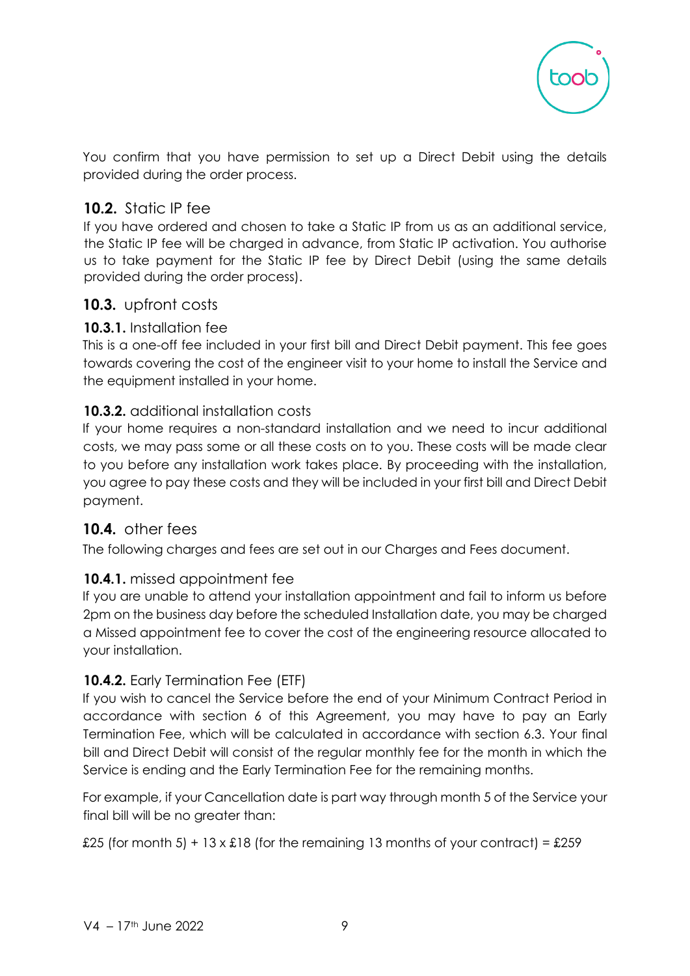

You confirm that you have permission to set up a Direct Debit using the details provided during the order process.

#### **10.2.** Static IP fee

If you have ordered and chosen to take a Static IP from us as an additional service, the Static IP fee will be charged in advance, from Static IP activation. You authorise us to take payment for the Static IP fee by Direct Debit (using the same details provided during the order process).

#### **10.3.** upfront costs

#### **10.3.1.** Installation fee

This is a one-off fee included in your first bill and Direct Debit payment. This fee goes towards covering the cost of the engineer visit to your home to install the Service and the equipment installed in your home.

#### **10.3.2.** additional installation costs

If your home requires a non-standard installation and we need to incur additional costs, we may pass some or all these costs on to you. These costs will be made clear to you before any installation work takes place. By proceeding with the installation, you agree to pay these costs and they will be included in your first bill and Direct Debit payment.

#### **10.4.** other fees

The following charges and fees are set out in our Charges and Fees document.

#### **10.4.1.** missed appointment fee

If you are unable to attend your installation appointment and fail to inform us before 2pm on the business day before the scheduled Installation date, you may be charged a Missed appointment fee to cover the cost of the engineering resource allocated to your installation.

#### **10.4.2.** Early Termination Fee (ETF)

If you wish to cancel the Service before the end of your Minimum Contract Period in accordance with section 6 of this Agreement, you may have to pay an Early Termination Fee, which will be calculated in accordance with section 6.3. Your final bill and Direct Debit will consist of the regular monthly fee for the month in which the Service is ending and the Early Termination Fee for the remaining months.

For example, if your Cancellation date is part way through month 5 of the Service your final bill will be no greater than:

£25 (for month 5) + 13 x  $£18$  (for the remaining 13 months of your contract) = £259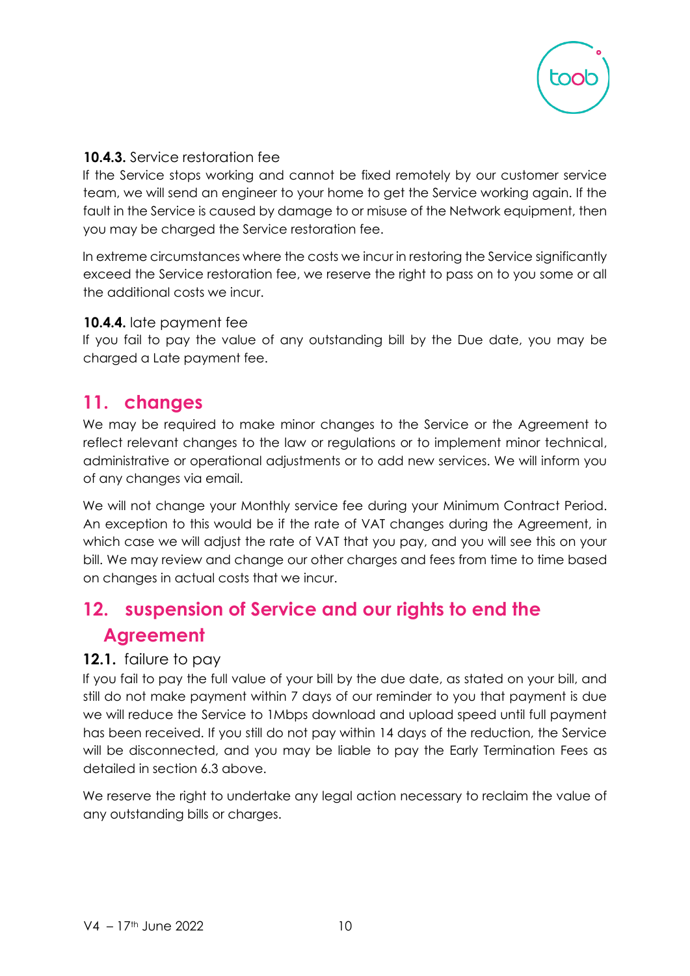

#### **10.4.3.** Service restoration fee

If the Service stops working and cannot be fixed remotely by our customer service team, we will send an engineer to your home to get the Service working again. If the fault in the Service is caused by damage to or misuse of the Network equipment, then you may be charged the Service restoration fee.

In extreme circumstances where the costs we incur in restoring the Service significantly exceed the Service restoration fee, we reserve the right to pass on to you some or all the additional costs we incur.

#### **10.4.4.** late payment fee

If you fail to pay the value of any outstanding bill by the Due date, you may be charged a Late payment fee.

## **11. changes**

We may be required to make minor changes to the Service or the Agreement to reflect relevant changes to the law or regulations or to implement minor technical, administrative or operational adjustments or to add new services. We will inform you of any changes via email.

We will not change your Monthly service fee during your Minimum Contract Period. An exception to this would be if the rate of VAT changes during the Agreement, in which case we will adjust the rate of VAT that you pay, and you will see this on your bill. We may review and change our other charges and fees from time to time based on changes in actual costs that we incur.

# **12. suspension of Service and our rights to end the Agreement**

#### **12.1.** failure to pay

If you fail to pay the full value of your bill by the due date, as stated on your bill, and still do not make payment within 7 days of our reminder to you that payment is due we will reduce the Service to 1Mbps download and upload speed until full payment has been received. If you still do not pay within 14 days of the reduction, the Service will be disconnected, and you may be liable to pay the Early Termination Fees as detailed in section 6.3 above.

We reserve the right to undertake any legal action necessary to reclaim the value of any outstanding bills or charges.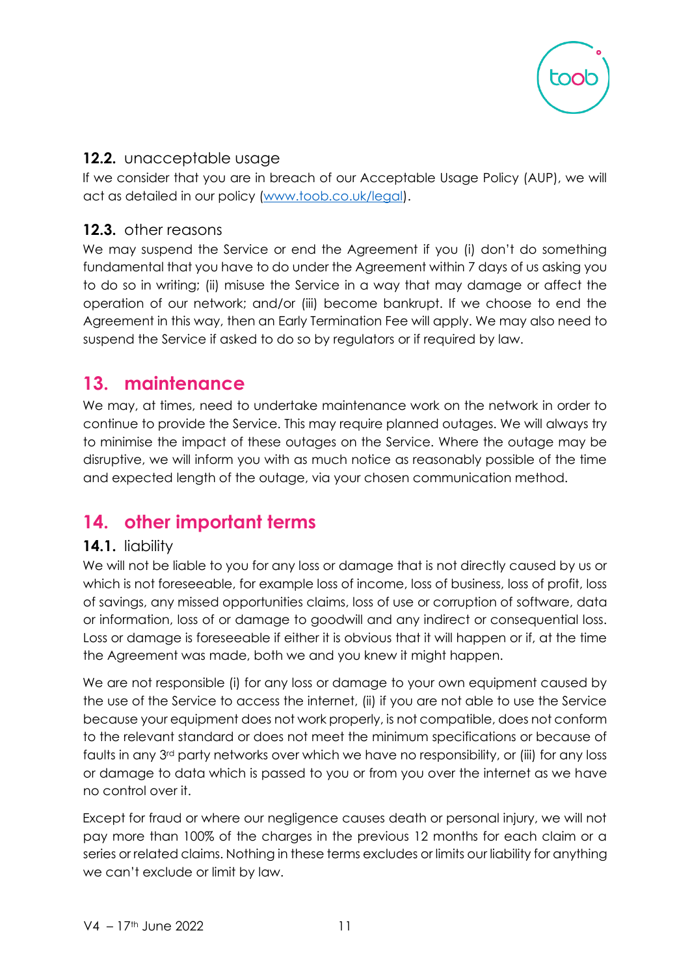

#### **12.2.** unacceptable usage

If we consider that you are in breach of our Acceptable Usage Policy (AUP), we will act as detailed in our policy [\(www.toob.co.uk/legal\).](http://www.toob.co.uk/legal)

#### **12.3.** other reasons

We may suspend the Service or end the Agreement if you (i) don't do something fundamental that you have to do under the Agreement within 7 days of us asking you to do so in writing; (ii) misuse the Service in a way that may damage or affect the operation of our network; and/or (iii) become bankrupt. If we choose to end the Agreement in this way, then an Early Termination Fee will apply. We may also need to suspend the Service if asked to do so by regulators or if required by law.

## **13. maintenance**

We may, at times, need to undertake maintenance work on the network in order to continue to provide the Service. This may require planned outages. We will always try to minimise the impact of these outages on the Service. Where the outage may be disruptive, we will inform you with as much notice as reasonably possible of the time and expected length of the outage, via your chosen communication method.

# **14. other important terms**

#### **14.1.** liability

We will not be liable to you for any loss or damage that is not directly caused by us or which is not foreseeable, for example loss of income, loss of business, loss of profit, loss of savings, any missed opportunities claims, loss of use or corruption of software, data or information, loss of or damage to goodwill and any indirect or consequential loss. Loss or damage is foreseeable if either it is obvious that it will happen or if, at the time the Agreement was made, both we and you knew it might happen.

We are not responsible (i) for any loss or damage to your own equipment caused by the use of the Service to access the internet, (ii) if you are not able to use the Service because your equipment does not work properly, is not compatible, does not conform to the relevant standard or does not meet the minimum specifications or because of faults in any 3rd party networks over which we have no responsibility, or (iii) for any loss or damage to data which is passed to you or from you over the internet as we have no control over it.

Except for fraud or where our negligence causes death or personal injury, we will not pay more than 100% of the charges in the previous 12 months for each claim or a series or related claims. Nothing in these terms excludes or limits our liability for anything we can't exclude or limit by law.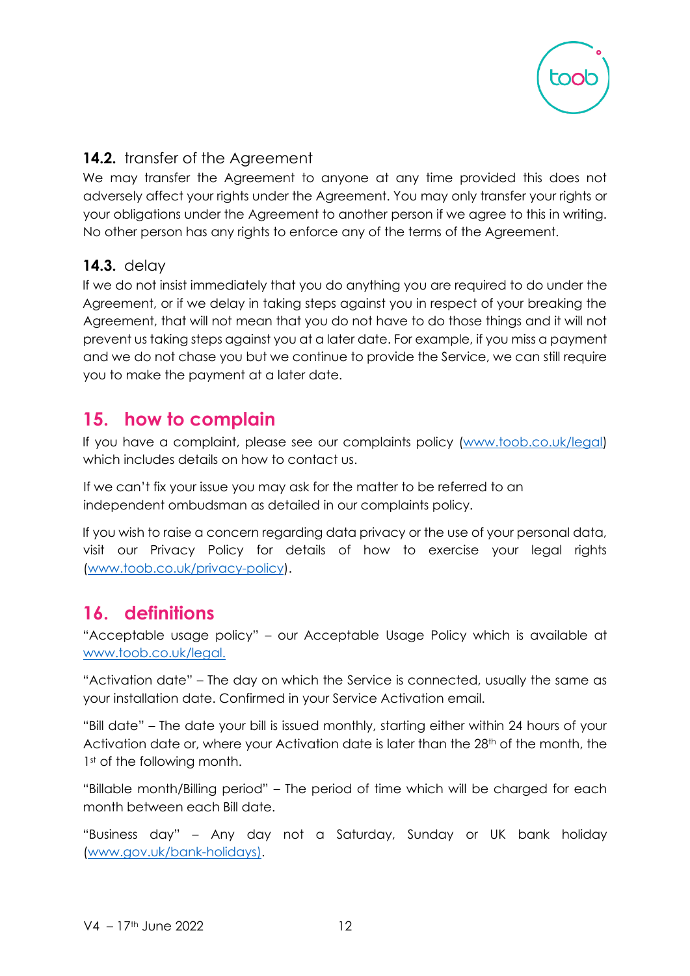

#### **14.2.** transfer of the Agreement

We may transfer the Agreement to anyone at any time provided this does not adversely affect your rights under the Agreement. You may only transfer your rights or your obligations under the Agreement to another person if we agree to this in writing. No other person has any rights to enforce any of the terms of the Agreement.

#### **14.3.** delay

If we do not insist immediately that you do anything you are required to do under the Agreement, or if we delay in taking steps against you in respect of your breaking the Agreement, that will not mean that you do not have to do those things and it will not prevent us taking steps against you at a later date. For example, if you miss a payment and we do not chase you but we continue to provide the Service, we can still require you to make the payment at a later date.

## **15. how to complain**

If you have a complaint, please see our complaints policy [\(www.toob.co.uk/legal\)](http://www.toob.co.uk/legal) which includes details on how to contact us.

If we can't fix your issue you may ask for the matter to be referred to an independent ombudsman as detailed in our complaints policy.

If you wish to raise a concern regarding data privacy or the use of your personal data, visit our Privacy Policy for details of how to exercise your legal rights [\(www.toob.co.uk/privacy-policy\).](http://www.toob.co.uk/privacy-policy)

## **16. definitions**

"Acceptable usage policy" – our Acceptable Usage Policy which is available at [www.toob.co.uk/legal.](http://www.toob.co.uk/legal)

"Activation date" – The day on which the Service is connected, usually the same as your installation date. Confirmed in your Service Activation email.

"Bill date" – The date your bill is issued monthly, starting either within 24 hours of your Activation date or, where your Activation date is later than the 28<sup>th</sup> of the month, the 1<sup>st</sup> of the following month.

"Billable month/Billing period" – The period of time which will be charged for each month between each Bill date.

"Business day" – Any day not a Saturday, Sunday or UK bank holiday [\(www.gov.uk/bank-holidays\).](http://www.gov.uk/bank-holidays)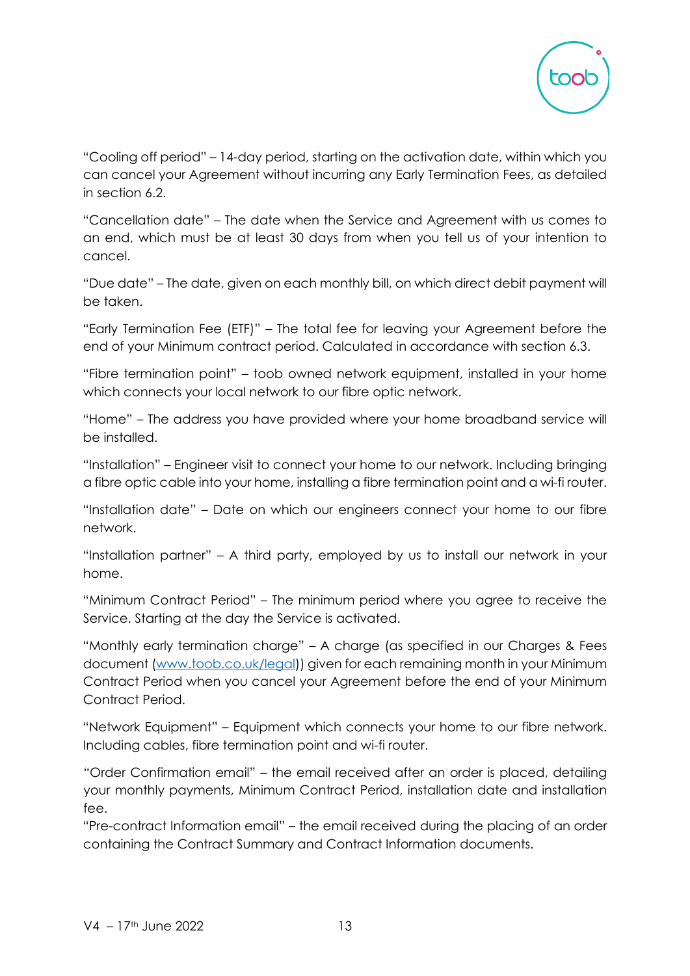

"Cooling off period" – 14-day period, starting on the activation date, within which you can cancel your Agreement without incurring any Early Termination Fees, as detailed in section 6.2.

"Cancellation date" – The date when the Service and Agreement with us comes to an end, which must be at least 30 days from when you tell us of your intention to cancel.

"Due date" – The date, given on each monthly bill, on which direct debit payment will be taken.

"Early Termination Fee (ETF)" – The total fee for leaving your Agreement before the end of your Minimum contract period. Calculated in accordance with section 6.3.

"Fibre termination point" – toob owned network equipment, installed in your home which connects your local network to our fibre optic network.

"Home" – The address you have provided where your home broadband service will be installed.

"Installation" – Engineer visit to connect your home to our network. Including bringing a fibre optic cable into your home, installing a fibre termination point and a wi-fi router.

"Installation date" – Date on which our engineers connect your home to our fibre network.

"Installation partner" – A third party, employed by us to install our network in your home.

"Minimum Contract Period" – The minimum period where you agree to receive the Service. Starting at the day the Service is activated.

"Monthly early termination charge" – A charge (as specified in our Charges & Fees document [\(www.toob.co.uk/legal\)](http://www.toob.co.uk/legal)) given for each remaining month in your Minimum Contract Period when you cancel your Agreement before the end of your Minimum Contract Period.

"Network Equipment" – Equipment which connects your home to our fibre network. Including cables, fibre termination point and wi-fi router.

"Order Confirmation email" – the email received after an order is placed, detailing your monthly payments, Minimum Contract Period, installation date and installation fee.

"Pre-contract Information email" – the email received during the placing of an order containing the Contract Summary and Contract Information documents.